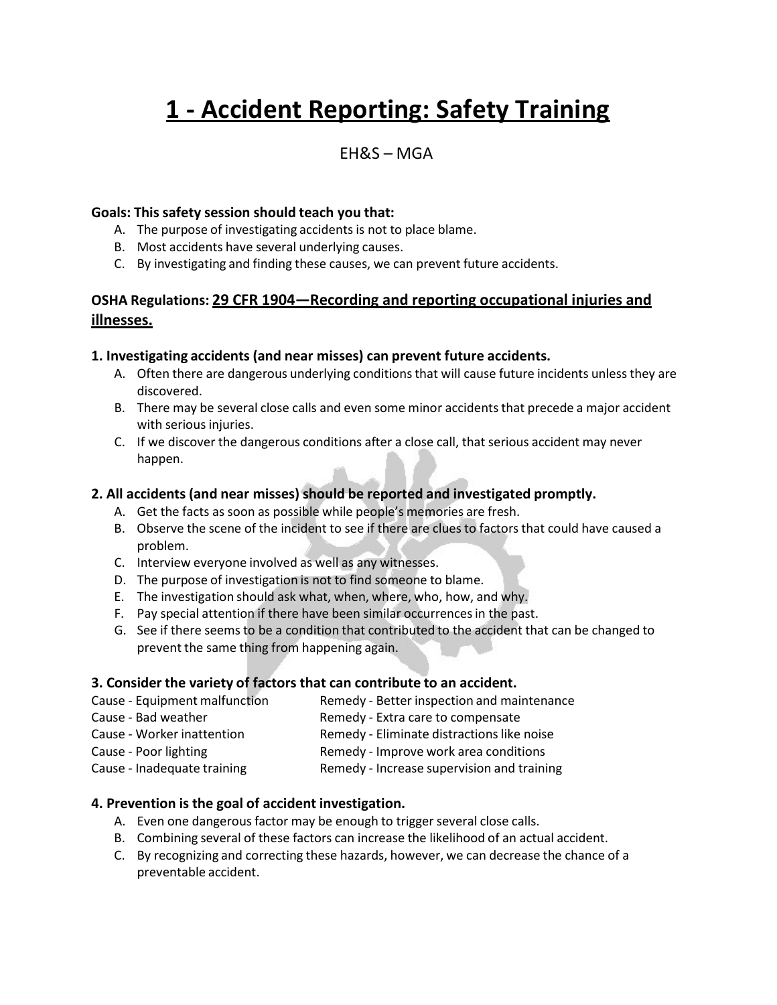# **1 - Accident Reporting: Safety Training**

# EH&S – MGA

#### **Goals: This safety session should teach you that:**

- A. The purpose of investigating accidents is not to place blame.
- B. Most accidents have several underlying causes.
- C. By investigating and finding these causes, we can prevent future accidents.

## **OSHA Regulations: 29 CFR 1904—Recording and reporting occupational injuries and illnesses.**

#### **1. Investigating accidents (and near misses) can prevent future accidents.**

- A. Often there are dangerous underlying conditions that will cause future incidents unless they are discovered.
- B. There may be several close calls and even some minor accidents that precede a major accident with serious injuries.
- C. If we discover the dangerous conditions after a close call, that serious accident may never happen.

#### **2. All accidents (and near misses) should be reported and investigated promptly.**

- A. Get the facts as soon as possible while people's memories are fresh.
- B. Observe the scene of the incident to see if there are clues to factors that could have caused a problem.
- C. Interview everyone involved as well as any witnesses.
- D. The purpose of investigation is not to find someone to blame.
- E. The investigation should ask what, when, where, who, how, and why.
- F. Pay special attention if there have been similar occurrencesin the past.
- G. See if there seems to be a condition that contributed to the accident that can be changed to prevent the same thing from happening again.

#### **3. Consider the variety of factors that can contribute to an accident.**

- Cause Equipment malfunction Remedy Better inspection and maintenance Cause - Bad weather **Remedy - Extra care to compensate**
- Cause Worker inattention Remedy Eliminate distractionslike noise
	-
- Cause Poor lighting The Remedy Improve work area conditions
- Cause Inadequate training Remedy Increase supervision and training

#### **4. Prevention is the goal of accident investigation.**

- A. Even one dangerous factor may be enough to trigger several close calls.
- B. Combining several of these factors can increase the likelihood of an actual accident.
- C. By recognizing and correcting these hazards, however, we can decrease the chance of a preventable accident.